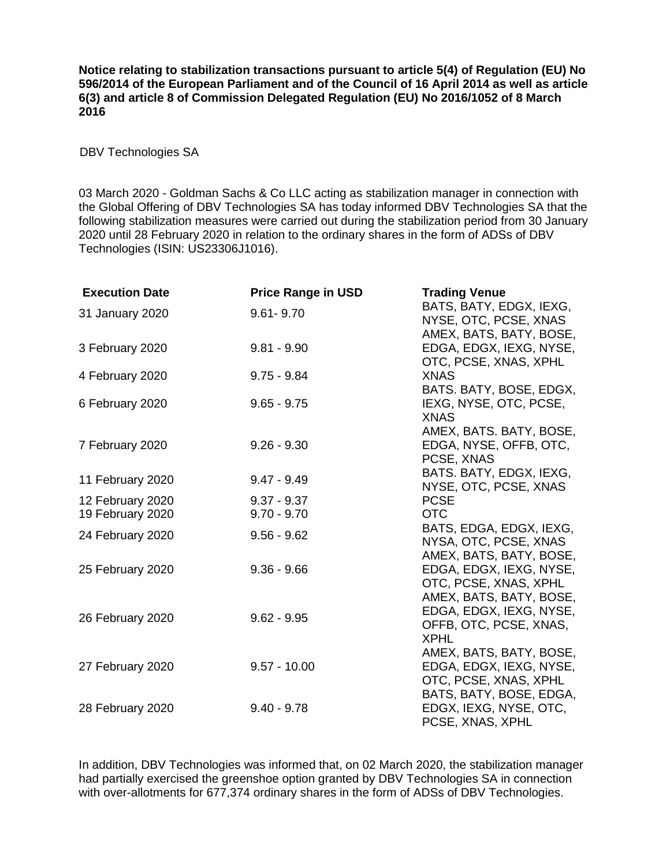**Notice relating to stabilization transactions pursuant to article 5(4) of Regulation (EU) No 596/2014 of the European Parliament and of the Council of 16 April 2014 as well as article 6(3) and article 8 of Commission Delegated Regulation (EU) No 2016/1052 of 8 March 2016**

DBV Technologies SA

03 March 2020 - Goldman Sachs & Co LLC acting as stabilization manager in connection with the Global Offering of DBV Technologies SA has today informed DBV Technologies SA that the following stabilization measures were carried out during the stabilization period from 30 January 2020 until 28 February 2020 in relation to the ordinary shares in the form of ADSs of DBV Technologies (ISIN: US23306J1016).

| <b>Execution Date</b> | <b>Price Range in USD</b> | <b>Trading Venue</b>                 |
|-----------------------|---------------------------|--------------------------------------|
| 31 January 2020       | $9.61 - 9.70$             | BATS, BATY, EDGX, IEXG,              |
|                       |                           | NYSE, OTC, PCSE, XNAS                |
|                       |                           | AMEX, BATS, BATY, BOSE,              |
| 3 February 2020       | $9.81 - 9.90$             | EDGA, EDGX, IEXG, NYSE,              |
|                       |                           | OTC, PCSE, XNAS, XPHL                |
| 4 February 2020       | $9.75 - 9.84$             | <b>XNAS</b>                          |
| 6 February 2020       | $9.65 - 9.75$             | BATS. BATY, BOSE, EDGX,              |
|                       |                           | IEXG, NYSE, OTC, PCSE,               |
|                       |                           | <b>XNAS</b>                          |
| 7 February 2020       | $9.26 - 9.30$             | AMEX, BATS. BATY, BOSE,              |
|                       |                           | EDGA, NYSE, OFFB, OTC,<br>PCSE, XNAS |
|                       |                           | BATS. BATY, EDGX, IEXG,              |
| 11 February 2020      | $9.47 - 9.49$             | NYSE, OTC, PCSE, XNAS                |
| 12 February 2020      | $9.37 - 9.37$             | <b>PCSE</b>                          |
| 19 February 2020      | $9.70 - 9.70$             | <b>OTC</b>                           |
|                       |                           | BATS, EDGA, EDGX, IEXG,              |
| 24 February 2020      | $9.56 - 9.62$             | NYSA, OTC, PCSE, XNAS                |
|                       |                           | AMEX, BATS, BATY, BOSE,              |
| 25 February 2020      | $9.36 - 9.66$             | EDGA, EDGX, IEXG, NYSE,              |
|                       |                           | OTC, PCSE, XNAS, XPHL                |
|                       |                           | AMEX, BATS, BATY, BOSE,              |
| 26 February 2020      | $9.62 - 9.95$             | EDGA, EDGX, IEXG, NYSE,              |
|                       |                           | OFFB, OTC, PCSE, XNAS,               |
|                       |                           | <b>XPHL</b>                          |
|                       |                           | AMEX, BATS, BATY, BOSE,              |
| 27 February 2020      | $9.57 - 10.00$            | EDGA, EDGX, IEXG, NYSE,              |
|                       |                           | OTC, PCSE, XNAS, XPHL                |
|                       |                           | BATS, BATY, BOSE, EDGA,              |
| 28 February 2020      | $9.40 - 9.78$             | EDGX, IEXG, NYSE, OTC,               |
|                       |                           | PCSE, XNAS, XPHL                     |

In addition, DBV Technologies was informed that, on 02 March 2020, the stabilization manager had partially exercised the greenshoe option granted by DBV Technologies SA in connection with over-allotments for 677,374 ordinary shares in the form of ADSs of DBV Technologies.